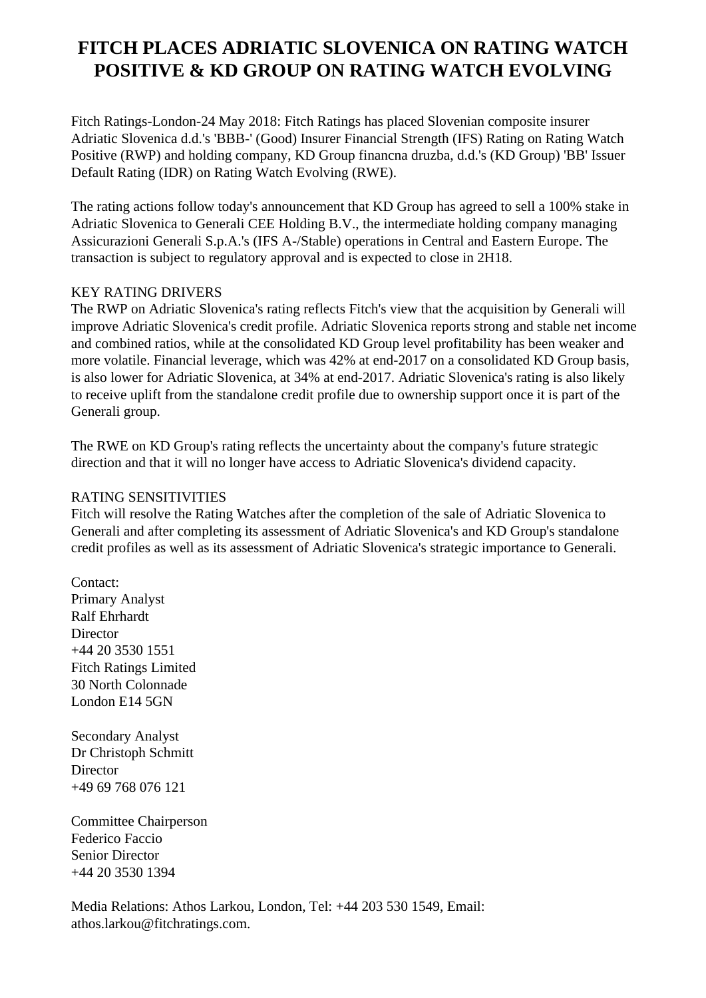## **FITCH PLACES ADRIATIC SLOVENICA ON RATING WATCH POSITIVE & KD GROUP ON RATING WATCH EVOLVING**

 Fitch Ratings-London-24 May 2018: Fitch Ratings has placed Slovenian composite insurer Adriatic Slovenica d.d.'s 'BBB-' (Good) Insurer Financial Strength (IFS) Rating on Rating Watch Positive (RWP) and holding company, KD Group financna druzba, d.d.'s (KD Group) 'BB' Issuer Default Rating (IDR) on Rating Watch Evolving (RWE).

 The rating actions follow today's announcement that KD Group has agreed to sell a 100% stake in Adriatic Slovenica to Generali CEE Holding B.V., the intermediate holding company managing Assicurazioni Generali S.p.A.'s (IFS A-/Stable) operations in Central and Eastern Europe. The transaction is subject to regulatory approval and is expected to close in 2H18.

## KEY RATING DRIVERS

 The RWP on Adriatic Slovenica's rating reflects Fitch's view that the acquisition by Generali will improve Adriatic Slovenica's credit profile. Adriatic Slovenica reports strong and stable net income and combined ratios, while at the consolidated KD Group level profitability has been weaker and more volatile. Financial leverage, which was 42% at end-2017 on a consolidated KD Group basis, is also lower for Adriatic Slovenica, at 34% at end-2017. Adriatic Slovenica's rating is also likely to receive uplift from the standalone credit profile due to ownership support once it is part of the Generali group.

 The RWE on KD Group's rating reflects the uncertainty about the company's future strategic direction and that it will no longer have access to Adriatic Slovenica's dividend capacity.

## RATING SENSITIVITIES

 Fitch will resolve the Rating Watches after the completion of the sale of Adriatic Slovenica to Generali and after completing its assessment of Adriatic Slovenica's and KD Group's standalone credit profiles as well as its assessment of Adriatic Slovenica's strategic importance to Generali.

 Contact: Primary Analyst Ralf Ehrhardt Director +44 20 3530 1551 Fitch Ratings Limited 30 North Colonnade London E14 5GN

 Secondary Analyst Dr Christoph Schmitt **Director** +49 69 768 076 121

 Committee Chairperson Federico Faccio Senior Director +44 20 3530 1394

 Media Relations: Athos Larkou, London, Tel: +44 203 530 1549, Email: athos.larkou@fitchratings.com.